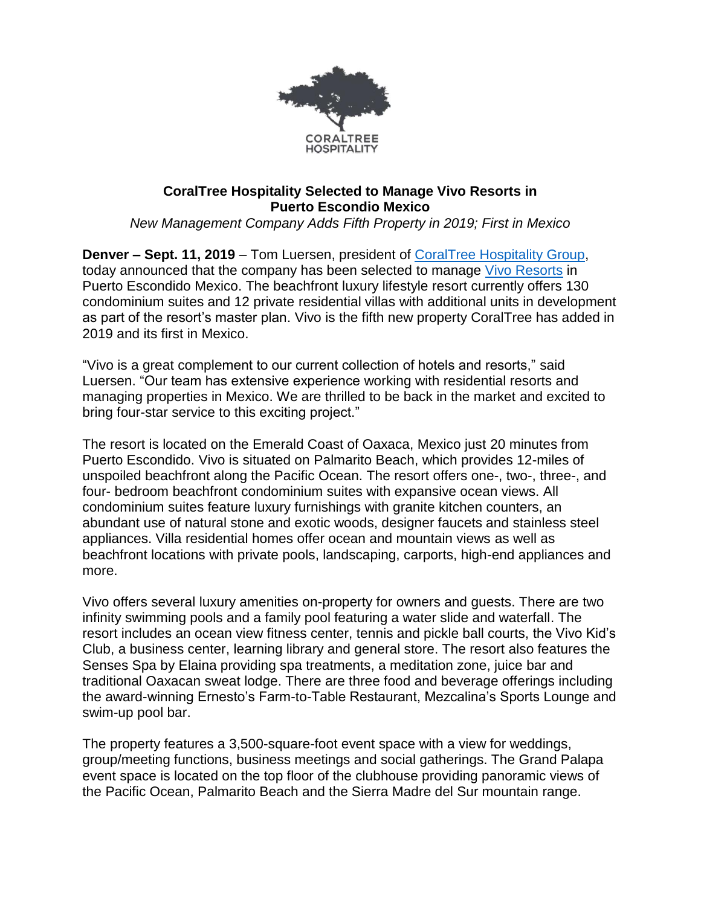

## **CoralTree Hospitality Selected to Manage Vivo Resorts in Puerto Escondio Mexico**

*New Management Company Adds Fifth Property in 2019; First in Mexico*

**Denver – Sept. 11, 2019** – Tom Luersen, president of [CoralTree Hospitality Group,](https://www.coraltreehospitality.com/) today announced that the company has been selected to manage [Vivo Resorts](https://www.vivoresorts.com/) in Puerto Escondido Mexico. The beachfront luxury lifestyle resort currently offers 130 condominium suites and 12 private residential villas with additional units in development as part of the resort's master plan. Vivo is the fifth new property CoralTree has added in 2019 and its first in Mexico.

"Vivo is a great complement to our current collection of hotels and resorts," said Luersen. "Our team has extensive experience working with residential resorts and managing properties in Mexico. We are thrilled to be back in the market and excited to bring four-star service to this exciting project."

The resort is located on the Emerald Coast of Oaxaca, Mexico just 20 minutes from Puerto Escondido. Vivo is situated on Palmarito Beach, which provides 12-miles of unspoiled beachfront along the Pacific Ocean. The resort offers one-, two-, three-, and four- bedroom beachfront condominium suites with expansive ocean views. All condominium suites feature luxury furnishings with granite kitchen counters, an abundant use of natural stone and exotic woods, designer faucets and stainless steel appliances. Villa residential homes offer ocean and mountain views as well as beachfront locations with private pools, landscaping, carports, high-end appliances and more.

Vivo offers several luxury amenities on-property for owners and guests. There are two infinity swimming pools and a family pool featuring a water slide and waterfall. The resort includes an ocean view fitness center, tennis and pickle ball courts, the Vivo Kid's Club, a business center, learning library and general store. The resort also features the Senses Spa by Elaina providing spa treatments, a meditation zone, juice bar and traditional Oaxacan sweat lodge. There are three food and beverage offerings including the award-winning Ernesto's Farm-to-Table Restaurant, Mezcalina's Sports Lounge and swim-up pool bar.

The property features a 3,500-square-foot event space with a view for weddings, group/meeting functions, business meetings and social gatherings. The Grand Palapa event space is located on the top floor of the clubhouse providing panoramic views of the Pacific Ocean, Palmarito Beach and the Sierra Madre del Sur mountain range.